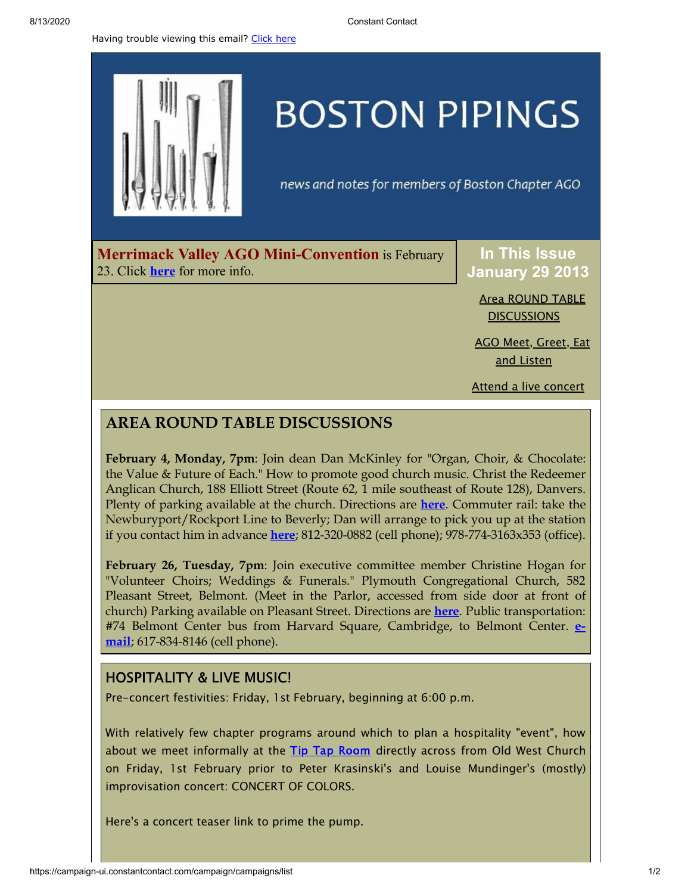Having trouble viewing this email? [Click](http://campaign.r20.constantcontact.com/render?preview=true&m=1105786651064&ca=4f004795-c5ad-43a2-87aa-06c88b95327d&id=preview) here



# **BOSTON PIPINGS**

news and notes for members of Boston Chapter AGO

**Merrimack Valley AGO Mini-Convention** is February 23. Click **[here](http://library.constantcontact.com/doc208/1105786651064/doc/13dBNk01XuWXbXOZ.pdf)** for more info.

**In This Issue January 29 2013**

> Area ROUND TABLE **[DISCUSSIONS](#page-0-0)**

AGO Meet, [Greet,](#page-0-1) Eat and Listen

Attend a live [concert](#page-1-0)

## <span id="page-0-0"></span>**AREA ROUND TABLE DISCUSSIONS**

**February 4, Monday, 7pm**: Join dean Dan McKinley for "Organ, Choir, & Chocolate: the Value & Future of Each." How to promote good church music. Christ the Redeemer Anglican Church, 188 Elliott Street (Route 62, 1 mile southeast of Route 128), Danvers. Plenty of parking available at the church. Directions are **[here](http://www.ctr-anglican.org/welcome/directions.html)**. Commuter rail: take the Newburyport/Rockport Line to Beverly; Dan will arrange to pick you up at the station if you contact him in advance **[here](mailto:dan.mckinley@ctr-anglican.org)**; 812-320-0882 (cell phone); 978-774-3163x353 (office).

**February 26, Tuesday, 7pm**: Join executive committee member Christine Hogan for "Volunteer Choirs; Weddings & Funerals." Plymouth Congregational Church, 582 Pleasant Street, Belmont. (Meet in the Parlor, accessed from side door at front of church) Parking available on Pleasant Street. Directions are **[here](http://www.plymouthchurch.net/for-visitors)**. Public transportation: #74 Belmont Center bus from Harvard Square, Cambridge, to Belmont Center. **email**; [617-834-8146](http://christine@hogans.org/) (cell phone).

### <span id="page-0-1"></span>HOSPITALITY & LIVE MUSIC!

Pre-concert festivities: Friday, 1st February, beginning at 6:00 p.m.

With relatively few chapter programs around which to plan a hospitality "event", how about we meet informally at the Tip Tap [Room](http://thetiptaproom.com/) directly across from Old West Church on Friday, 1st February prior to Peter Krasinski's and Louise Mundinger's (mostly) improvisation concert: CONCERT OF COLORS.

Here's a concert teaser link to prime the pump.